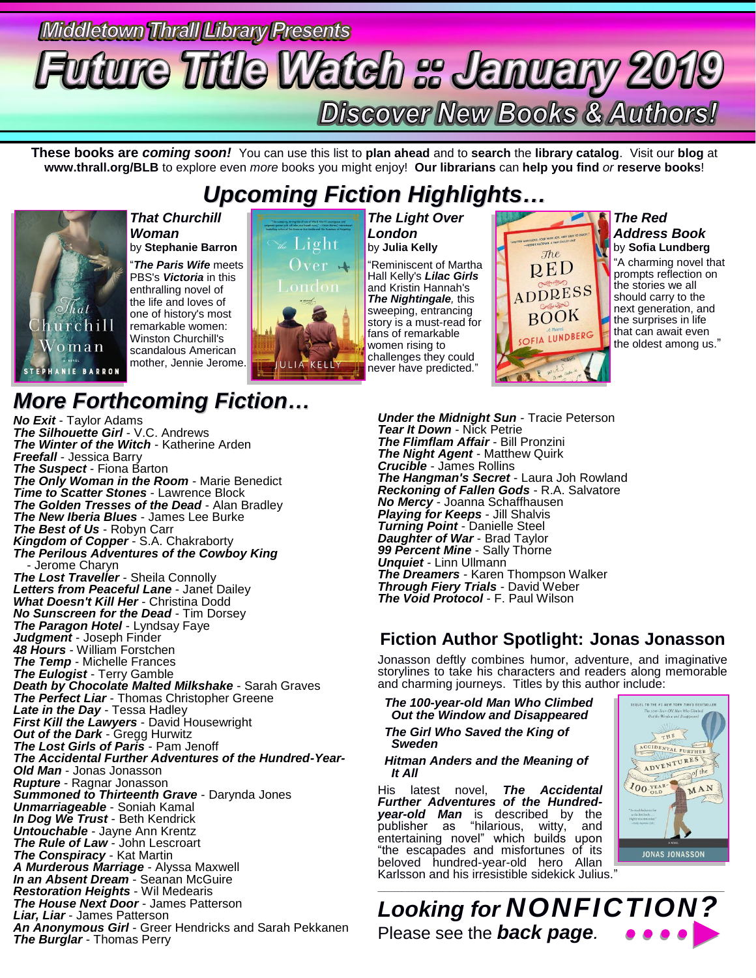# Middletown Thrall Library Presents **Future Title Watch :: January 2019 Discover New Books & Authors!**

**These books are** *coming soon!* You can use this list to **plan ahead** and to **search** the **library catalog**. Visit our **blog** at **www.thrall.org/BLB** to explore even *more* books you might enjoy! **Our librarians** can **help you find** *or* **reserve books**!

## *Upcoming Fiction Highlights…*



### *That Churchill Woman* by **Stephanie Barron**

"*The Paris Wife* meets PBS's *Victoria* in this enthralling novel of the life and loves of one of history's most remarkable women: Winston Churchill's scandalous American mother, Jennie Jerome.



*The Light Over London* by **Julia Kelly** "Reminiscent of Martha Hall Kelly's *Lilac Girls* and Kristin Hannah's *The Nightingale,* this sweeping, entrancing story is a must-read for fans of remarkable women rising to challenges they could never have predicted."

*The Red Address Book* by **Sofia Lundberg**

"A charming novel that prompts reflection on the stories we all should carry to the next generation, and the surprises in life that can await even the oldest among us."

## *More Forthcoming Fiction…*

*No Exit* - Taylor Adams *The Silhouette Girl* - V.C. Andrews *The Winter of the Witch* - Katherine Arden *Freefall* - Jessica Barry *The Suspect* - Fiona Barton *The Only Woman in the Room* - Marie Benedict *Time to Scatter Stones* - Lawrence Block *The Golden Tresses of the Dead* - Alan Bradley *The New Iberia Blues* - James Lee Burke *The Best of Us* - Robyn Carr *Kingdom of Copper* - S.A. Chakraborty *The Perilous Adventures of the Cowboy King* - Jerome Charyn *The Lost Traveller* - Sheila Connolly *Letters from Peaceful Lane* - Janet Dailey *What Doesn't Kill Her* - Christina Dodd *No Sunscreen for the Dead* - Tim Dorsey *The Paragon Hotel* - Lyndsay Faye *Judgment* - Joseph Finder *48 Hours* - William Forstchen *The Temp* - Michelle Frances *The Eulogist* - Terry Gamble *Death by Chocolate Malted Milkshake* - Sarah Graves *The Perfect Liar* - Thomas Christopher Greene *Late in the Day* - Tessa Hadley *First Kill the Lawyers* - David Housewright *Out of the Dark* - Gregg Hurwitz *The Lost Girls of Paris* - Pam Jenoff *The Accidental Further Adventures of the Hundred-Year-Old Man* - Jonas Jonasson *Rupture* - Ragnar Jonasson *Summoned to Thirteenth Grave* - Darynda Jones *Unmarriageable* - Soniah Kamal *In Dog We Trust* - Beth Kendrick *Untouchable* - Jayne Ann Krentz *The Rule of Law* - John Lescroart *The Conspiracy* - Kat Martin *A Murderous Marriage* - Alyssa Maxwell *In an Absent Dream* - Seanan McGuire *Restoration Heights* - Wil Medearis *The House Next Door* - James Patterson *Liar, Liar* - James Patterson *An Anonymous Girl* - Greer Hendricks and Sarah Pekkanen *The Burglar* - Thomas Perry

*Under the Midnight Sun* - Tracie Peterson *Tear It Down* - Nick Petrie *The Flimflam Affair* - Bill Pronzini *The Night Agent* - Matthew Quirk *Crucible* - James Rollins *The Hangman's Secret* - Laura Joh Rowland *Reckoning of Fallen Gods* - R.A. Salvatore *No Mercy* - Joanna Schaffhausen *Playing for Keeps* - Jill Shalvis *Turning Point* - Danielle Steel *Daughter of War* - Brad Taylor *99 Percent Mine* - Sally Thorne *Unquiet* - Linn Ullmann *The Dreamers* - Karen Thompson Walker *Through Fiery Trials* - David Weber *The Void Protocol* - F. Paul Wilson

### **Fiction Author Spotlight: Jonas Jonasson**

The RED

ADDRESS **BOOK** 

OFIA LUNDBERG

Jonasson deftly combines humor, adventure, and imaginative storylines to take his characters and readers along memorable and charming journeys. Titles by this author include:

 *The 100-year-old Man Who Climbed Out the Window and Disappeared*

 *The Girl Who Saved the King of Sweden*

 *Hitman Anders and the Meaning of It All*

His latest novel, *The Accidental Further Adventures of the Hundredyear-old Man* is described by the publisher as "hilarious, witty, and entertaining novel" which builds upon "the escapades and misfortunes of its beloved hundred-year-old hero Allan Karlsson and his irresistible sidekick Julius."



\_\_\_\_\_\_\_\_\_\_\_\_\_\_\_\_\_\_\_\_\_\_\_\_\_\_\_\_\_\_\_\_\_\_\_\_\_\_\_\_\_\_\_\_\_\_\_\_\_\_\_\_\_\_\_\_\_\_\_\_\_\_\_\_\_\_\_\_\_\_\_\_\_\_\_\_\_\_\_\_\_\_\_\_\_\_\_\_\_\_\_\_\_\_\_\_\_\_\_\_\_ *Looking for NONFICTION?* Please see the *back page.*